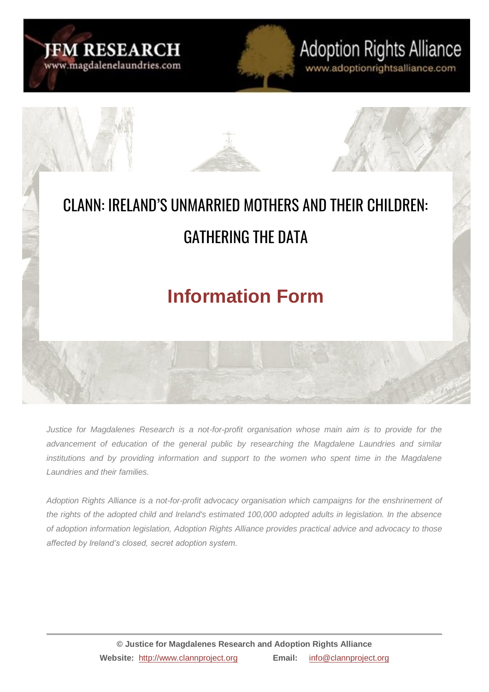

# **Adoption Rights Alliance**

www.adoptionrightsalliance.com



*Justice for Magdalenes Research is a not-for-profit organisation whose main aim is to provide for the advancement of education of the general public by researching the Magdalene Laundries and similar institutions and by providing information and support to the women who spent time in the Magdalene Laundries and their families.*

*Adoption Rights Alliance is a not-for-profit advocacy organisation which campaigns for the enshrinement of the rights of the adopted child and Ireland's estimated 100,000 adopted adults in legislation. In the absence of adoption information legislation, Adoption Rights Alliance provides practical advice and advocacy to those affected by Ireland's closed, secret adoption system.*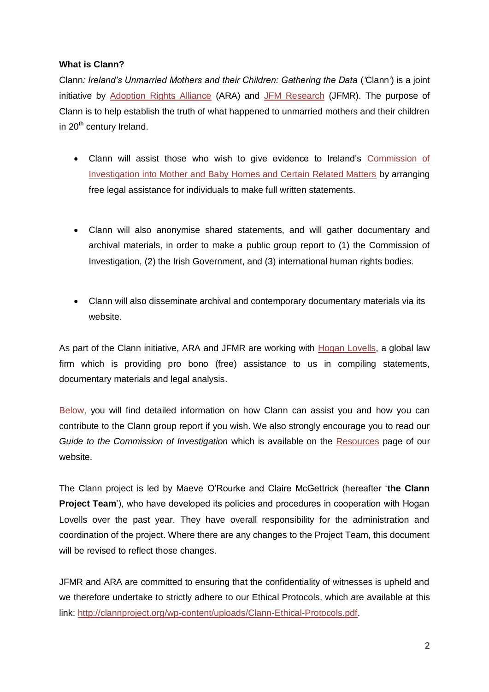## **What is Clann?**

Clann*: Ireland's Unmarried Mothers and their Children: Gathering the Data* (*'*Clann*'*) is a joint initiative by [Adoption Rights Alliance](http://www.adoptionrightsalliance.com/) (ARA) and [JFM Research](http://ww.magdalenelaundries.com/) (JFMR). The purpose of Clann is to help establish the truth of what happened to unmarried mothers and their children in 20<sup>th</sup> century Ireland.

- Clann will assist those who wish to give evidence to Ireland's [Commission of](http://mbhcoi.ie/MBH.nsf/page/index-en)  [Investigation into Mother and Baby Homes and Certain Related Matters](http://mbhcoi.ie/MBH.nsf/page/index-en) by arranging free legal assistance for individuals to make full written statements.
- Clann will also anonymise shared statements, and will gather documentary and archival materials, in order to make a public group report to (1) the Commission of Investigation, (2) the Irish Government, and (3) international human rights bodies.
- Clann will also disseminate archival and contemporary documentary materials via its website.

As part of the Clann initiative, ARA and JFMR are working with [Hogan Lovells,](http://www.hoganlovells.com/probono/) a global law firm which is providing pro bono (free) assistance to us in compiling statements, documentary materials and legal analysis.

[Below,](#page-9-0) you will find detailed information on how Clann can assist you and how you can contribute to the Clann group report if you wish. We also strongly encourage you to read our *Guide to the Commission of Investigation* which is available on the [Resources](http://clannproject.org/index.php/resources/) page of our website.

The Clann project is led by Maeve O'Rourke and Claire McGettrick (hereafter '**the Clann Project Team**'), who have developed its policies and procedures in cooperation with Hogan Lovells over the past year. They have overall responsibility for the administration and coordination of the project. Where there are any changes to the Project Team, this document will be revised to reflect those changes.

JFMR and ARA are committed to ensuring that the confidentiality of witnesses is upheld and we therefore undertake to strictly adhere to our Ethical Protocols, which are available at this link: [http://clannproject.org/wp-content/uploads/Clann-Ethical-Protocols.pdf.](http://clannproject.org/wp-content/uploads/Clann-Ethical-Protocols.pdf)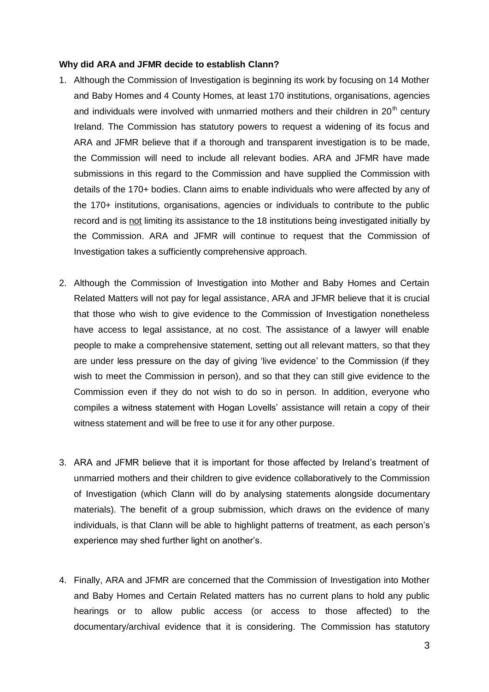#### **Why did ARA and JFMR decide to establish Clann?**

- 1. Although the Commission of Investigation is beginning its work by focusing on 14 Mother and Baby Homes and 4 County Homes, at least 170 institutions, organisations, agencies and individuals were involved with unmarried mothers and their children in  $20<sup>th</sup>$  century Ireland. The Commission has statutory powers to request a widening of its focus and ARA and JFMR believe that if a thorough and transparent investigation is to be made, the Commission will need to include all relevant bodies. ARA and JFMR have made submissions in this regard to the Commission and have supplied the Commission with details of the 170+ bodies. Clann aims to enable individuals who were affected by any of the 170+ institutions, organisations, agencies or individuals to contribute to the public record and is not limiting its assistance to the 18 institutions being investigated initially by the Commission. ARA and JFMR will continue to request that the Commission of Investigation takes a sufficiently comprehensive approach.
- 2. Although the Commission of Investigation into Mother and Baby Homes and Certain Related Matters will not pay for legal assistance, ARA and JFMR believe that it is crucial that those who wish to give evidence to the Commission of Investigation nonetheless have access to legal assistance, at no cost. The assistance of a lawyer will enable people to make a comprehensive statement, setting out all relevant matters, so that they are under less pressure on the day of giving 'live evidence' to the Commission (if they wish to meet the Commission in person), and so that they can still give evidence to the Commission even if they do not wish to do so in person. In addition, everyone who compiles a witness statement with Hogan Lovells' assistance will retain a copy of their witness statement and will be free to use it for any other purpose.
- 3. ARA and JFMR believe that it is important for those affected by Ireland's treatment of unmarried mothers and their children to give evidence collaboratively to the Commission of Investigation (which Clann will do by analysing statements alongside documentary materials). The benefit of a group submission, which draws on the evidence of many individuals, is that Clann will be able to highlight patterns of treatment, as each person's experience may shed further light on another's.
- 4. Finally, ARA and JFMR are concerned that the Commission of Investigation into Mother and Baby Homes and Certain Related matters has no current plans to hold any public hearings or to allow public access (or access to those affected) to the documentary/archival evidence that it is considering. The Commission has statutory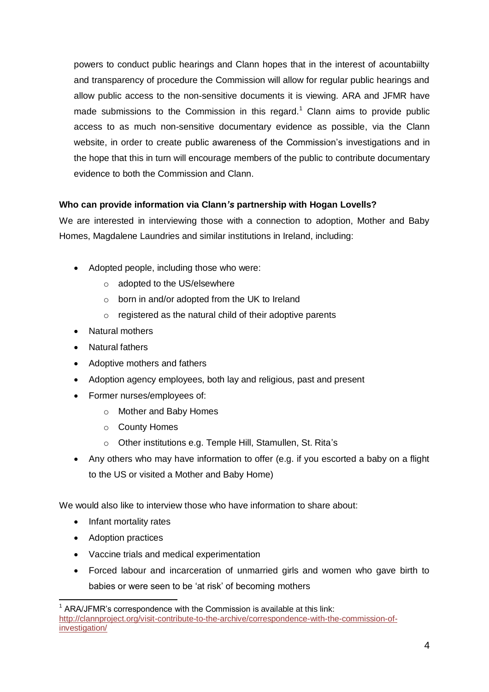powers to conduct public hearings and Clann hopes that in the interest of acountabiilty and transparency of procedure the Commission will allow for regular public hearings and allow public access to the non-sensitive documents it is viewing. ARA and JFMR have made submissions to the Commission in this regard.<sup>1</sup> Clann aims to provide public access to as much non-sensitive documentary evidence as possible, via the Clann website, in order to create public awareness of the Commission's investigations and in the hope that this in turn will encourage members of the public to contribute documentary evidence to both the Commission and Clann.

## **Who can provide information via Clann***'s* **partnership with Hogan Lovells?**

We are interested in interviewing those with a connection to adoption, Mother and Baby Homes, Magdalene Laundries and similar institutions in Ireland, including:

- Adopted people, including those who were:
	- o adopted to the US/elsewhere
	- o born in and/or adopted from the UK to Ireland
	- o registered as the natural child of their adoptive parents
- Natural mothers
- Natural fathers
- Adoptive mothers and fathers
- Adoption agency employees, both lay and religious, past and present
- Former nurses/employees of:
	- o Mother and Baby Homes
	- o County Homes
	- o Other institutions e.g. Temple Hill, Stamullen, St. Rita's
- Any others who may have information to offer (e.g. if you escorted a baby on a flight to the US or visited a Mother and Baby Home)

We would also like to interview those who have information to share about:

- Infant mortality rates
- Adoption practices
- Vaccine trials and medical experimentation
- Forced labour and incarceration of unmarried girls and women who gave birth to babies or were seen to be 'at risk' of becoming mothers

  $1$  ARA/JFMR's correspondence with the Commission is available at this link: [http://clannproject.org/visit-contribute-to-the-archive/correspondence-with-the-commission-of](http://clannproject.org/visit-contribute-to-the-archive/correspondence-with-the-commission-of-investigation/)[investigation/](http://clannproject.org/visit-contribute-to-the-archive/correspondence-with-the-commission-of-investigation/)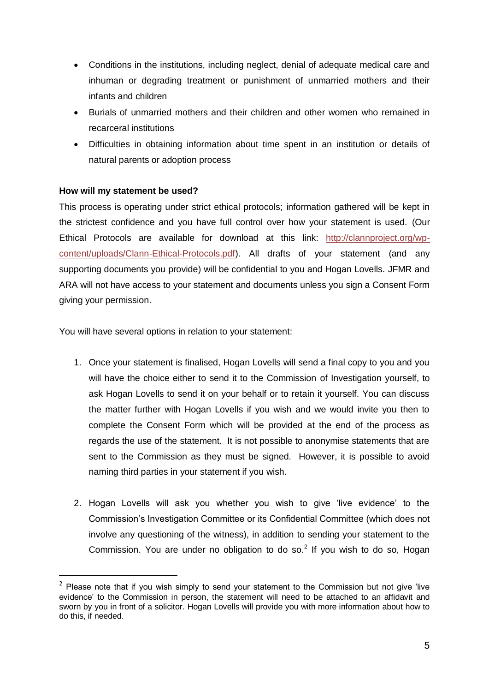- Conditions in the institutions, including neglect, denial of adequate medical care and inhuman or degrading treatment or punishment of unmarried mothers and their infants and children
- Burials of unmarried mothers and their children and other women who remained in recarceral institutions
- Difficulties in obtaining information about time spent in an institution or details of natural parents or adoption process

## **How will my statement be used?**

-

This process is operating under strict ethical protocols; information gathered will be kept in the strictest confidence and you have full control over how your statement is used. (Our Ethical Protocols are available for download at this link: [http://clannproject.org/wp](http://clannproject.org/wp-content/uploads/Clann-Ethical-Protocols.pdf)[content/uploads/Clann-Ethical-Protocols.pdf\)](http://clannproject.org/wp-content/uploads/Clann-Ethical-Protocols.pdf). All drafts of your statement (and any supporting documents you provide) will be confidential to you and Hogan Lovells. JFMR and ARA will not have access to your statement and documents unless you sign a Consent Form giving your permission.

You will have several options in relation to your statement:

- 1. Once your statement is finalised, Hogan Lovells will send a final copy to you and you will have the choice either to send it to the Commission of Investigation yourself, to ask Hogan Lovells to send it on your behalf or to retain it yourself. You can discuss the matter further with Hogan Lovells if you wish and we would invite you then to complete the Consent Form which will be provided at the end of the process as regards the use of the statement. It is not possible to anonymise statements that are sent to the Commission as they must be signed. However, it is possible to avoid naming third parties in your statement if you wish.
- 2. Hogan Lovells will ask you whether you wish to give 'live evidence' to the Commission's Investigation Committee or its Confidential Committee (which does not involve any questioning of the witness), in addition to sending your statement to the Commission. You are under no obligation to do so. $<sup>2</sup>$  If you wish to do so, Hogan</sup>

 $2$  Please note that if you wish simply to send your statement to the Commission but not give 'live evidence' to the Commission in person, the statement will need to be attached to an affidavit and sworn by you in front of a solicitor. Hogan Lovells will provide you with more information about how to do this, if needed.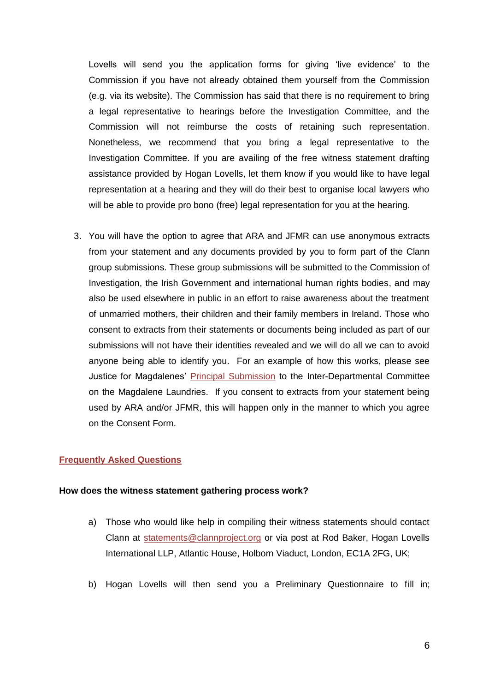Lovells will send you the application forms for giving 'live evidence' to the Commission if you have not already obtained them yourself from the Commission (e.g. via its website). The Commission has said that there is no requirement to bring a legal representative to hearings before the Investigation Committee, and the Commission will not reimburse the costs of retaining such representation. Nonetheless, we recommend that you bring a legal representative to the Investigation Committee. If you are availing of the free witness statement drafting assistance provided by Hogan Lovells, let them know if you would like to have legal representation at a hearing and they will do their best to organise local lawyers who will be able to provide pro bono (free) legal representation for you at the hearing.

3. You will have the option to agree that ARA and JFMR can use anonymous extracts from your statement and any documents provided by you to form part of the Clann group submissions. These group submissions will be submitted to the Commission of Investigation, the Irish Government and international human rights bodies, and may also be used elsewhere in public in an effort to raise awareness about the treatment of unmarried mothers, their children and their family members in Ireland. Those who consent to extracts from their statements or documents being included as part of our submissions will not have their identities revealed and we will do all we can to avoid anyone being able to identify you. For an example of how this works, please see Justice for Magdalenes' [Principal Submission](http://www.magdalenelaundries.com/State_Involvement_in_the_Magdalene_Laundries_public.pdf) to the Inter-Departmental Committee on the Magdalene Laundries. If you consent to extracts from your statement being used by ARA and/or JFMR, this will happen only in the manner to which you agree on the Consent Form.

#### **Frequently Asked Questions**

#### **How does the witness statement gathering process work?**

- a) Those who would like help in compiling their witness statements should contact Clann at [statements@clannproject.org](mailto:statements@clannproject.org) or via post at Rod Baker, Hogan Lovells International LLP, Atlantic House, Holborn Viaduct, London, EC1A 2FG, UK;
- b) Hogan Lovells will then send you a Preliminary Questionnaire to fill in;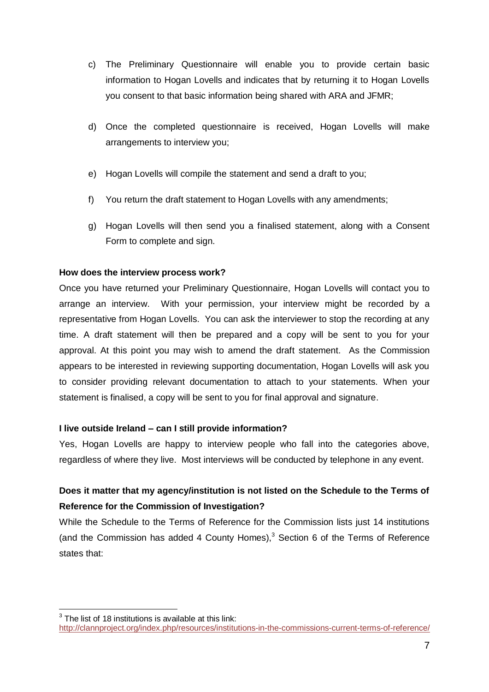- c) The Preliminary Questionnaire will enable you to provide certain basic information to Hogan Lovells and indicates that by returning it to Hogan Lovells you consent to that basic information being shared with ARA and JFMR;
- d) Once the completed questionnaire is received, Hogan Lovells will make arrangements to interview you;
- e) Hogan Lovells will compile the statement and send a draft to you;
- f) You return the draft statement to Hogan Lovells with any amendments;
- g) Hogan Lovells will then send you a finalised statement, along with a Consent Form to complete and sign.

## **How does the interview process work?**

Once you have returned your Preliminary Questionnaire, Hogan Lovells will contact you to arrange an interview. With your permission, your interview might be recorded by a representative from Hogan Lovells. You can ask the interviewer to stop the recording at any time. A draft statement will then be prepared and a copy will be sent to you for your approval. At this point you may wish to amend the draft statement. As the Commission appears to be interested in reviewing supporting documentation, Hogan Lovells will ask you to consider providing relevant documentation to attach to your statements. When your statement is finalised, a copy will be sent to you for final approval and signature.

## **I live outside Ireland – can I still provide information?**

Yes, Hogan Lovells are happy to interview people who fall into the categories above, regardless of where they live. Most interviews will be conducted by telephone in any event.

# **Does it matter that my agency/institution is not listed on the Schedule to the Terms of Reference for the Commission of Investigation?**

While the Schedule to the Terms of Reference for the Commission lists just 14 institutions (and the Commission has added 4 County Homes), $3$  Section 6 of the Terms of Reference states that:

 3 The list of 18 institutions is available at this link: <http://clannproject.org/index.php/resources/institutions-in-the-commissions-current-terms-of-reference/>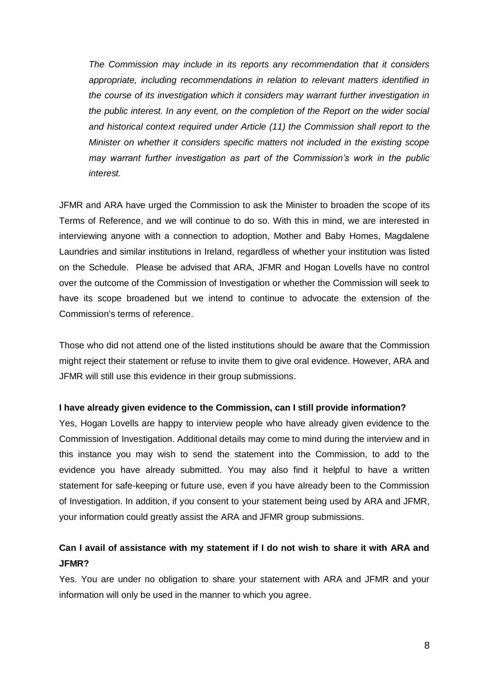*The Commission may include in its reports any recommendation that it considers appropriate, including recommendations in relation to relevant matters identified in the course of its investigation which it considers may warrant further investigation in the public interest. In any event, on the completion of the Report on the wider social and historical context required under Article (11) the Commission shall report to the Minister on whether it considers specific matters not included in the existing scope may warrant further investigation as part of the Commission's work in the public interest.*

JFMR and ARA have urged the Commission to ask the Minister to broaden the scope of its Terms of Reference, and we will continue to do so. With this in mind, we are interested in interviewing anyone with a connection to adoption, Mother and Baby Homes, Magdalene Laundries and similar institutions in Ireland, regardless of whether your institution was listed on the Schedule. Please be advised that ARA, JFMR and Hogan Lovells have no control over the outcome of the Commission of Investigation or whether the Commission will seek to have its scope broadened but we intend to continue to advocate the extension of the Commission's terms of reference.

Those who did not attend one of the listed institutions should be aware that the Commission might reject their statement or refuse to invite them to give oral evidence. However, ARA and JFMR will still use this evidence in their group submissions.

#### **I have already given evidence to the Commission, can I still provide information?**

Yes, Hogan Lovells are happy to interview people who have already given evidence to the Commission of Investigation. Additional details may come to mind during the interview and in this instance you may wish to send the statement into the Commission, to add to the evidence you have already submitted. You may also find it helpful to have a written statement for safe-keeping or future use, even if you have already been to the Commission of Investigation. In addition, if you consent to your statement being used by ARA and JFMR, your information could greatly assist the ARA and JFMR group submissions.

## **Can I avail of assistance with my statement if I do not wish to share it with ARA and JFMR?**

Yes. You are under no obligation to share your statement with ARA and JFMR and your information will only be used in the manner to which you agree.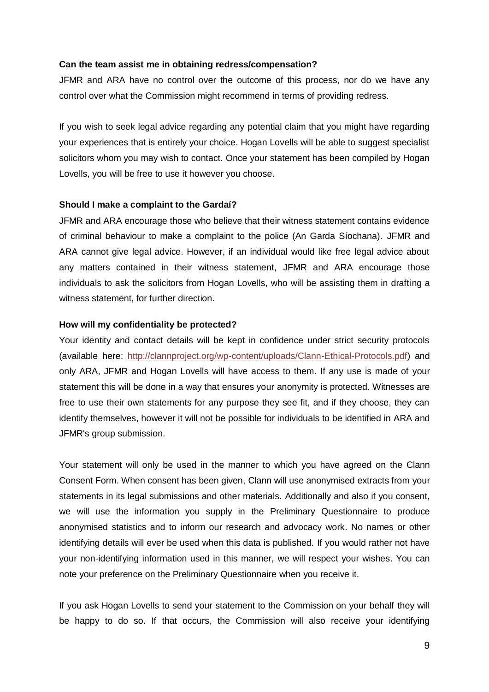#### **Can the team assist me in obtaining redress/compensation?**

JFMR and ARA have no control over the outcome of this process, nor do we have any control over what the Commission might recommend in terms of providing redress.

If you wish to seek legal advice regarding any potential claim that you might have regarding your experiences that is entirely your choice. Hogan Lovells will be able to suggest specialist solicitors whom you may wish to contact. Once your statement has been compiled by Hogan Lovells, you will be free to use it however you choose.

#### **Should I make a complaint to the Gardaí?**

JFMR and ARA encourage those who believe that their witness statement contains evidence of criminal behaviour to make a complaint to the police (An Garda Síochana). JFMR and ARA cannot give legal advice. However, if an individual would like free legal advice about any matters contained in their witness statement, JFMR and ARA encourage those individuals to ask the solicitors from Hogan Lovells, who will be assisting them in drafting a witness statement, for further direction.

#### **How will my confidentiality be protected?**

Your identity and contact details will be kept in confidence under strict security protocols (available here: [http://clannproject.org/wp-content/uploads/Clann-Ethical-Protocols.pdf\)](http://clannproject.org/wp-content/uploads/Clann-Ethical-Protocols.pdf) and only ARA, JFMR and Hogan Lovells will have access to them. If any use is made of your statement this will be done in a way that ensures your anonymity is protected. Witnesses are free to use their own statements for any purpose they see fit, and if they choose, they can identify themselves, however it will not be possible for individuals to be identified in ARA and JFMR's group submission.

Your statement will only be used in the manner to which you have agreed on the Clann Consent Form. When consent has been given, Clann will use anonymised extracts from your statements in its legal submissions and other materials. Additionally and also if you consent, we will use the information you supply in the Preliminary Questionnaire to produce anonymised statistics and to inform our research and advocacy work. No names or other identifying details will ever be used when this data is published. If you would rather not have your non-identifying information used in this manner, we will respect your wishes. You can note your preference on the Preliminary Questionnaire when you receive it.

If you ask Hogan Lovells to send your statement to the Commission on your behalf they will be happy to do so. If that occurs, the Commission will also receive your identifying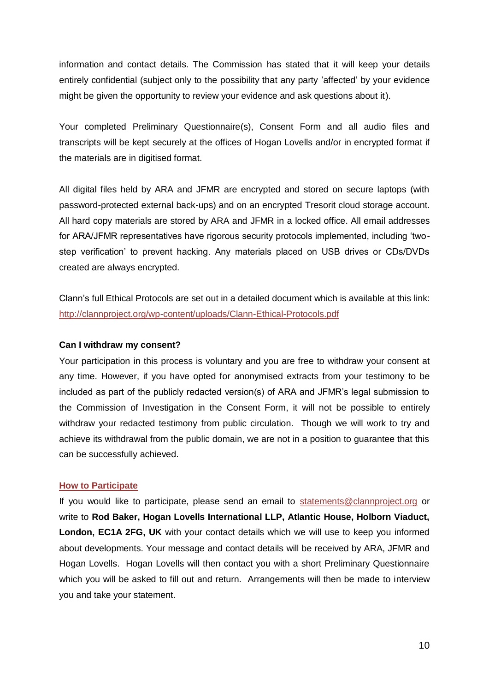information and contact details. The Commission has stated that it will keep your details entirely confidential (subject only to the possibility that any party 'affected' by your evidence might be given the opportunity to review your evidence and ask questions about it).

Your completed Preliminary Questionnaire(s), Consent Form and all audio files and transcripts will be kept securely at the offices of Hogan Lovells and/or in encrypted format if the materials are in digitised format.

All digital files held by ARA and JFMR are encrypted and stored on secure laptops (with password-protected external back-ups) and on an encrypted Tresorit cloud storage account. All hard copy materials are stored by ARA and JFMR in a locked office. All email addresses for ARA/JFMR representatives have rigorous security protocols implemented, including 'twostep verification' to prevent hacking. Any materials placed on USB drives or CDs/DVDs created are always encrypted.

Clann's full Ethical Protocols are set out in a detailed document which is available at this link: <http://clannproject.org/wp-content/uploads/Clann-Ethical-Protocols.pdf>

#### **Can I withdraw my consent?**

Your participation in this process is voluntary and you are free to withdraw your consent at any time. However, if you have opted for anonymised extracts from your testimony to be included as part of the publicly redacted version(s) of ARA and JFMR's legal submission to the Commission of Investigation in the Consent Form, it will not be possible to entirely withdraw your redacted testimony from public circulation. Though we will work to try and achieve its withdrawal from the public domain, we are not in a position to guarantee that this can be successfully achieved.

#### <span id="page-9-0"></span>**How to Participate**

If you would like to participate, please send an email to [statements@clannproject.org](mailto:statements@clannproject.org) or write to **Rod Baker, Hogan Lovells International LLP, Atlantic House, Holborn Viaduct, London, EC1A 2FG, UK** with your contact details which we will use to keep you informed about developments. Your message and contact details will be received by ARA, JFMR and Hogan Lovells. Hogan Lovells will then contact you with a short Preliminary Questionnaire which you will be asked to fill out and return. Arrangements will then be made to interview you and take your statement.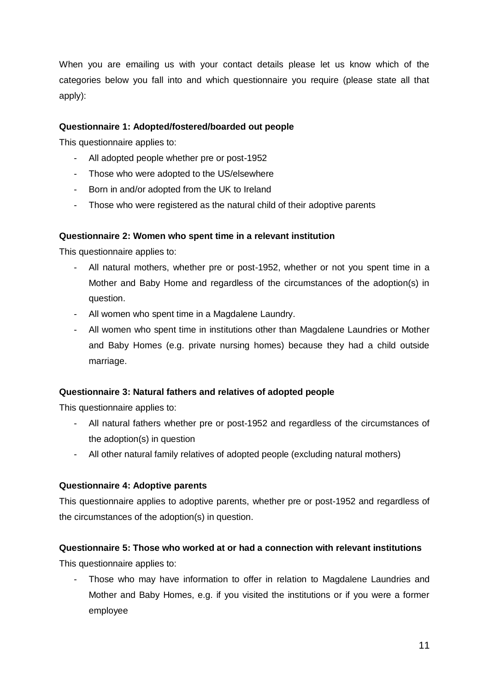When you are emailing us with your contact details please let us know which of the categories below you fall into and which questionnaire you require (please state all that apply):

## **Questionnaire 1: Adopted/fostered/boarded out people**

This questionnaire applies to:

- All adopted people whether pre or post-1952
- Those who were adopted to the US/elsewhere
- Born in and/or adopted from the UK to Ireland
- Those who were registered as the natural child of their adoptive parents

#### **Questionnaire 2: Women who spent time in a relevant institution**

This questionnaire applies to:

- All natural mothers, whether pre or post-1952, whether or not you spent time in a Mother and Baby Home and regardless of the circumstances of the adoption(s) in question.
- All women who spent time in a Magdalene Laundry.
- All women who spent time in institutions other than Magdalene Laundries or Mother and Baby Homes (e.g. private nursing homes) because they had a child outside marriage.

#### **Questionnaire 3: Natural fathers and relatives of adopted people**

This questionnaire applies to:

- All natural fathers whether pre or post-1952 and regardless of the circumstances of the adoption(s) in question
- All other natural family relatives of adopted people (excluding natural mothers)

#### **Questionnaire 4: Adoptive parents**

This questionnaire applies to adoptive parents, whether pre or post-1952 and regardless of the circumstances of the adoption(s) in question.

## **Questionnaire 5: Those who worked at or had a connection with relevant institutions**

This questionnaire applies to:

Those who may have information to offer in relation to Magdalene Laundries and Mother and Baby Homes, e.g. if you visited the institutions or if you were a former employee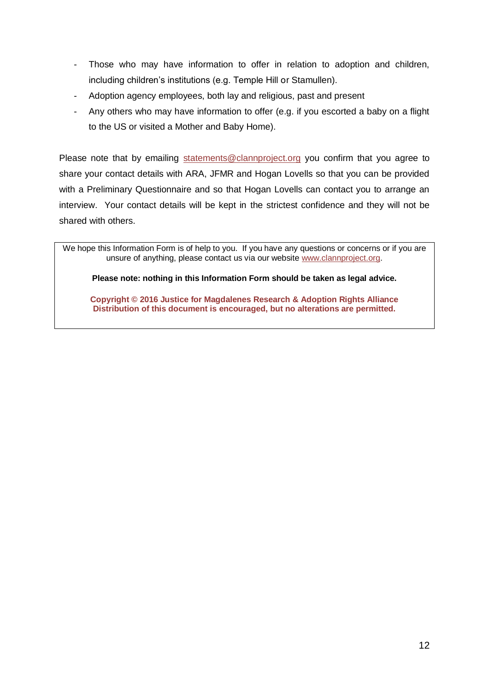- Those who may have information to offer in relation to adoption and children, including children's institutions (e.g. Temple Hill or Stamullen).
- Adoption agency employees, both lay and religious, past and present
- Any others who may have information to offer (e.g. if you escorted a baby on a flight to the US or visited a Mother and Baby Home).

Please note that by emailing [statements@clannproject.org](mailto:statements@clannproject.org) you confirm that you agree to share your contact details with ARA, JFMR and Hogan Lovells so that you can be provided with a Preliminary Questionnaire and so that Hogan Lovells can contact you to arrange an interview. Your contact details will be kept in the strictest confidence and they will not be shared with others.

We hope this Information Form is of help to you. If you have any questions or concerns or if you are unsure of anything, please contact us via our website [www.clannproject.org.](http://www.clannproject.org/)

**Please note: nothing in this Information Form should be taken as legal advice.**

**Copyright © 2016 Justice for Magdalenes Research & Adoption Rights Alliance Distribution of this document is encouraged, but no alterations are permitted.**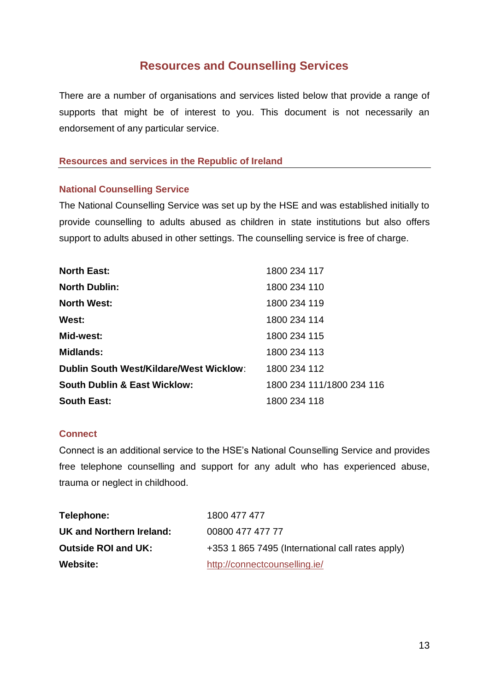# **Resources and Counselling Services**

There are a number of organisations and services listed below that provide a range of supports that might be of interest to you. This document is not necessarily an endorsement of any particular service.

## **Resources and services in the Republic of Ireland**

## **National Counselling Service**

The National Counselling Service was set up by the HSE and was established initially to provide counselling to adults abused as children in state institutions but also offers support to adults abused in other settings. The counselling service is free of charge.

| <b>North East:</b>                             | 1800 234 117              |
|------------------------------------------------|---------------------------|
| <b>North Dublin:</b>                           | 1800 234 110              |
| <b>North West:</b>                             | 1800 234 119              |
| West:                                          | 1800 234 114              |
| Mid-west:                                      | 1800 234 115              |
| <b>Midlands:</b>                               | 1800 234 113              |
| <b>Dublin South West/Kildare/West Wicklow:</b> | 1800 234 112              |
| <b>South Dublin &amp; East Wicklow:</b>        | 1800 234 111/1800 234 116 |
| <b>South East:</b>                             | 1800 234 118              |

## **Connect**

Connect is an additional service to the HSE's National Counselling Service and provides free telephone counselling and support for any adult who has experienced abuse, trauma or neglect in childhood.

| Telephone:                 | 1800 477 477                                     |
|----------------------------|--------------------------------------------------|
| UK and Northern Ireland:   | 00800 477 477 77                                 |
| <b>Outside ROI and UK:</b> | +353 1 865 7495 (International call rates apply) |
| <b>Website:</b>            | http://connectcounselling.ie/                    |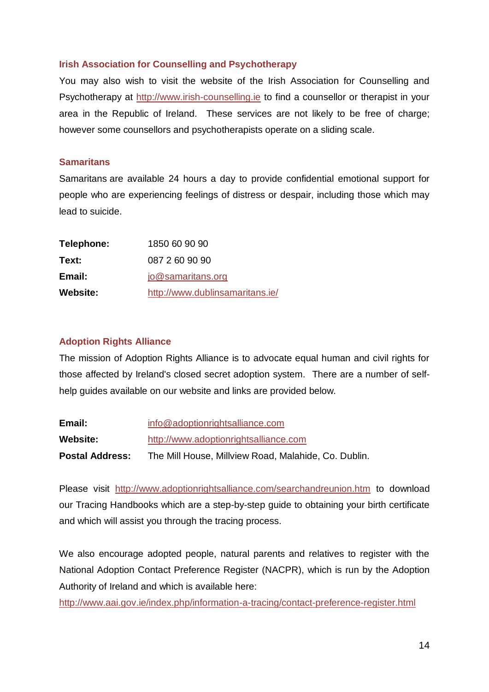## **Irish Association for Counselling and Psychotherapy**

You may also wish to visit the website of the Irish Association for Counselling and Psychotherapy at [http://www.irish-counselling.ie](http://www.irish-counselling.ie/) to find a counsellor or therapist in your area in the Republic of Ireland. These services are not likely to be free of charge; however some counsellors and psychotherapists operate on a sliding scale.

## **Samaritans**

Samaritans are available 24 hours a day to provide confidential emotional support for people who are experiencing feelings of distress or despair, including those which may lead to suicide.

| Telephone:      | 1850 60 90 90                   |
|-----------------|---------------------------------|
| Text:           | 087 2 60 90 90                  |
| Email:          | jo@samaritans.org               |
| <b>Website:</b> | http://www.dublinsamaritans.ie/ |

## **Adoption Rights Alliance**

The mission of Adoption Rights Alliance is to advocate equal human and civil rights for those affected by Ireland's closed secret adoption system. There are a number of selfhelp guides available on our website and links are provided below.

| Email:                 | info@adoptionrightsalliance.com                      |  |  |
|------------------------|------------------------------------------------------|--|--|
| <b>Website:</b>        | http://www.adoptionrightsalliance.com                |  |  |
| <b>Postal Address:</b> | The Mill House, Millview Road, Malahide, Co. Dublin. |  |  |

Please visit <http://www.adoptionrightsalliance.com/searchandreunion.htm> to download our Tracing Handbooks which are a step-by-step guide to obtaining your birth certificate and which will assist you through the tracing process.

We also encourage adopted people, natural parents and relatives to register with the National Adoption Contact Preference Register (NACPR), which is run by the Adoption Authority of Ireland and which is available here:

<http://www.aai.gov.ie/index.php/information-a-tracing/contact-preference-register.html>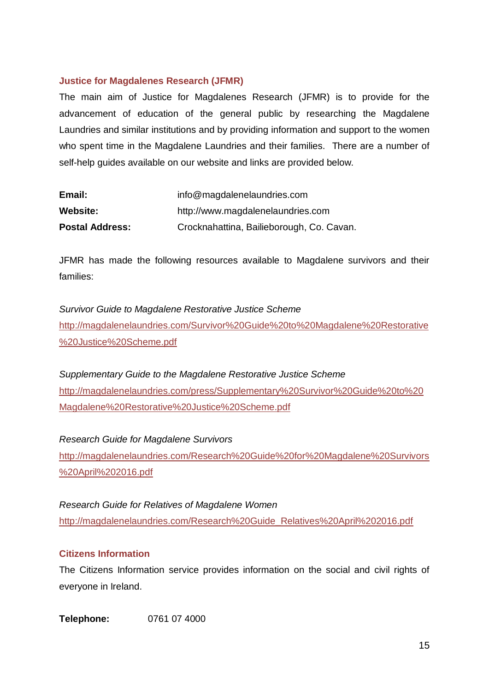## **Justice for Magdalenes Research (JFMR)**

The main aim of Justice for Magdalenes Research (JFMR) is to provide for the advancement of education of the general public by researching the Magdalene Laundries and similar institutions and by providing information and support to the women who spent time in the Magdalene Laundries and their families. There are a number of self-help guides available on our website and links are provided below.

| Email:                 | info@magdalenelaundries.com               |
|------------------------|-------------------------------------------|
| Website:               | http://www.magdalenelaundries.com         |
| <b>Postal Address:</b> | Crocknahattina, Bailieborough, Co. Cavan. |

JFMR has made the following resources available to Magdalene survivors and their families:

*Survivor Guide to Magdalene Restorative Justice Scheme* [http://magdalenelaundries.com/Survivor%20Guide%20to%20Magdalene%20Restorative](http://magdalenelaundries.com/Survivor%20Guide%20to%20Magdalene%20Restorative%20Justice%20Scheme.pdf) [%20Justice%20Scheme.pdf](http://magdalenelaundries.com/Survivor%20Guide%20to%20Magdalene%20Restorative%20Justice%20Scheme.pdf)

*Supplementary Guide to the Magdalene Restorative Justice Scheme* [http://magdalenelaundries.com/press/Supplementary%20Survivor%20Guide%20to%20](http://magdalenelaundries.com/press/Supplementary%20Survivor%20Guide%20to%20Magdalene%20Restorative%20Justice%20Scheme.pdf) [Magdalene%20Restorative%20Justice%20Scheme.pdf](http://magdalenelaundries.com/press/Supplementary%20Survivor%20Guide%20to%20Magdalene%20Restorative%20Justice%20Scheme.pdf)

*Research Guide for Magdalene Survivors* [http://magdalenelaundries.com/Research%20Guide%20for%20Magdalene%20Survivors](http://magdalenelaundries.com/Research%20Guide%20for%20Magdalene%20Survivors%20April%202016.pdf) [%20April%202016.pdf](http://magdalenelaundries.com/Research%20Guide%20for%20Magdalene%20Survivors%20April%202016.pdf)

*Research Guide for Relatives of Magdalene Women* [http://magdalenelaundries.com/Research%20Guide\\_Relatives%20April%202016.pdf](http://magdalenelaundries.com/Research%20Guide_Relatives%20April%202016.pdf)

#### **Citizens Information**

The Citizens Information service provides information on the social and civil rights of everyone in Ireland.

**Telephone:** 0761 07 4000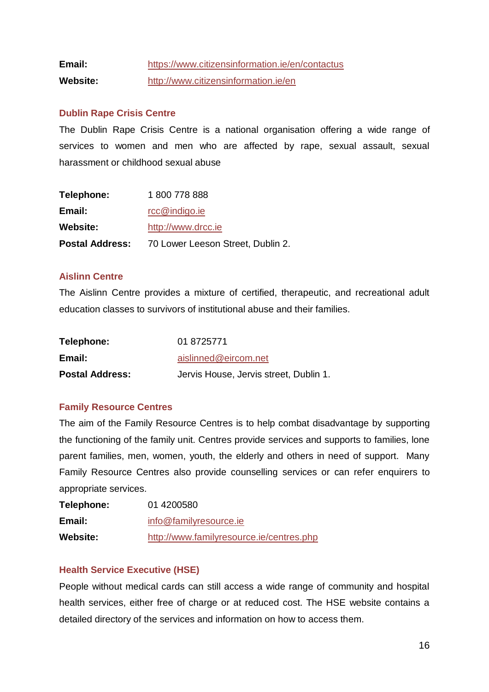# **Email:** [https://www.citizensinformation.ie/en/contactus](https://www.citizensinformation.ie/en/contactus/) **Website:** <http://www.citizensinformation.ie/en>

## **Dublin Rape Crisis Centre**

The Dublin Rape Crisis Centre is a national organisation offering a wide range of services to women and men who are affected by rape, sexual assault, sexual harassment or childhood sexual abuse

| <b>Postal Address:</b> | 70 Lower Leeson Street, Dublin 2. |
|------------------------|-----------------------------------|
| <b>Website:</b>        | http://www.drcc.ie                |
| Email:                 | $rcc@$ indigo.ie                  |
| Telephone:             | 1800 778 888                      |

## **Aislinn Centre**

The Aislinn Centre provides a mixture of certified, therapeutic, and recreational adult education classes to survivors of institutional abuse and their families.

| Telephone:             | 01 8725771                             |
|------------------------|----------------------------------------|
| Email:                 | aislinned@eircom.net                   |
| <b>Postal Address:</b> | Jervis House, Jervis street, Dublin 1. |

## **Family Resource Centres**

The aim of the Family Resource Centres is to help combat disadvantage by supporting the functioning of the family unit. Centres provide services and supports to families, lone parent families, men, women, youth, the elderly and others in need of support. Many Family Resource Centres also provide counselling services or can refer enquirers to appropriate services.

| Telephone:      | 01 4200580                               |  |
|-----------------|------------------------------------------|--|
| Email:          | info@familyresource.ie                   |  |
| <b>Website:</b> | http://www.familyresource.ie/centres.php |  |

## **Health Service Executive (HSE)**

People without medical cards can still access a wide range of community and hospital health services, either free of charge or at reduced cost. The HSE website contains a detailed directory of the services and information on how to access them.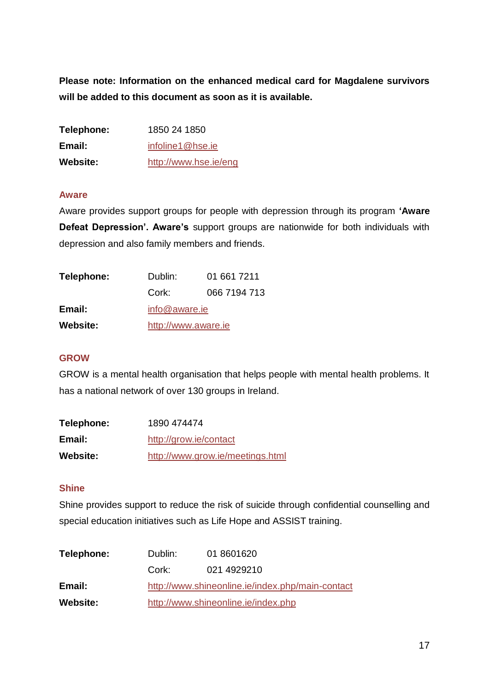**Please note: Information on the enhanced medical card for Magdalene survivors will be added to this document as soon as it is available.**

| Telephone:      | 1850 24 1850          |
|-----------------|-----------------------|
| Email:          | infoline1@hse.ie      |
| <b>Website:</b> | http://www.hse.ie/eng |

## **Aware**

Aware provides support groups for people with depression through its program **'Aware Defeat Depression'. Aware's** support groups are nationwide for both individuals with depression and also family members and friends.

| Telephone:      | Dublin:             | 01 661 7211  |
|-----------------|---------------------|--------------|
|                 | Cork:               | 066 7194 713 |
| Email:          | info@aware.ie       |              |
| <b>Website:</b> | http://www.aware.ie |              |

## **GROW**

GROW is a mental health organisation that helps people with mental health problems. It has a national network of over 130 groups in Ireland.

| Telephone:      | 1890 474474                      |
|-----------------|----------------------------------|
| Email:          | http://grow.ie/contact           |
| <b>Website:</b> | http://www.grow.ie/meetings.html |

## **Shine**

Shine provides support to reduce the risk of suicide through confidential counselling and special education initiatives such as Life Hope and ASSIST training.

| Telephone:      | Dublin:                             | 01 8601620                                       |  |
|-----------------|-------------------------------------|--------------------------------------------------|--|
|                 | Cork:                               | 021 4929210                                      |  |
| Email:          |                                     | http://www.shineonline.ie/index.php/main-contact |  |
| <b>Website:</b> | http://www.shineonline.ie/index.php |                                                  |  |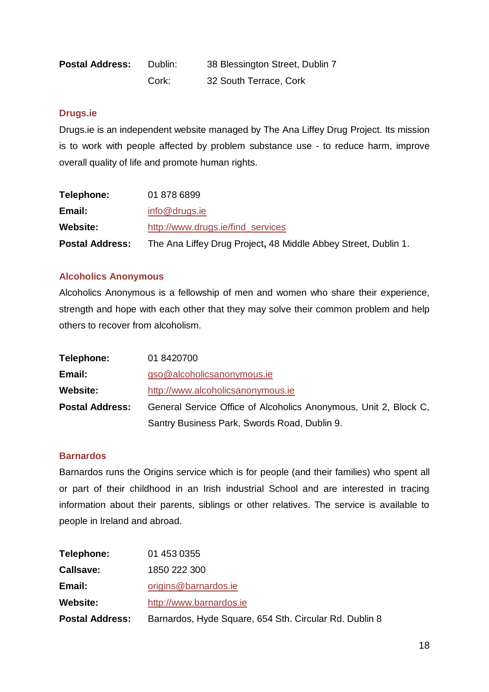| <b>Postal Address:</b> | Dublin: | 38 Blessington Street, Dublin 7 |
|------------------------|---------|---------------------------------|
|                        | Cork:   | 32 South Terrace, Cork          |

#### **Drugs.ie**

Drugs.ie is an independent website managed by The Ana Liffey Drug Project. Its mission is to work with people affected by problem substance use - to reduce harm, improve overall quality of life and promote human rights.

| Telephone:             | 01 878 6899                                                    |
|------------------------|----------------------------------------------------------------|
| Email:                 | info@drugs.ie                                                  |
| <b>Website:</b>        | http://www.drugs.ie/find services                              |
| <b>Postal Address:</b> | The Ana Liffey Drug Project, 48 Middle Abbey Street, Dublin 1. |

## **Alcoholics Anonymous**

Alcoholics Anonymous is a fellowship of men and women who share their experience, strength and hope with each other that they may solve their common problem and help others to recover from alcoholism.

| Telephone:             | 01 8420700                                                       |
|------------------------|------------------------------------------------------------------|
| Email:                 | gso@alcoholicsanonymous.ie                                       |
| <b>Website:</b>        | http://www.alcoholicsanonymous.ie                                |
| <b>Postal Address:</b> | General Service Office of Alcoholics Anonymous, Unit 2, Block C, |
|                        | Santry Business Park, Swords Road, Dublin 9.                     |

## **Barnardos**

Barnardos runs the Origins service which is for people (and their families) who spent all or part of their childhood in an Irish industrial School and are interested in tracing information about their parents, siblings or other relatives. The service is available to people in Ireland and abroad.

| <b>Postal Address:</b> | Barnardos, Hyde Square, 654 Sth. Circular Rd. Dublin 8 |
|------------------------|--------------------------------------------------------|
| <b>Website:</b>        | http://www.barnardos.ie                                |
| Email:                 | origins@barnardos.ie                                   |
| <b>Callsave:</b>       | 1850 222 300                                           |
| Telephone:             | 01 453 0355                                            |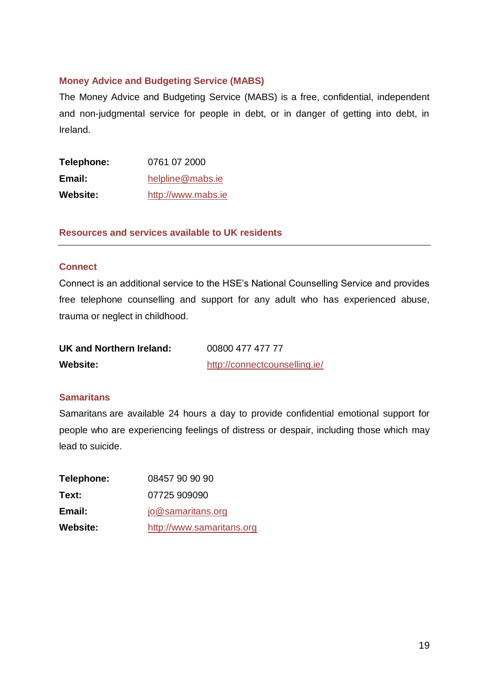## **Money Advice and Budgeting Service (MABS)**

The Money Advice and Budgeting Service (MABS) is a free, confidential, independent and non-judgmental service for people in debt, or in danger of getting into debt, in Ireland.

| Telephone:      | 0761 07 2000       |
|-----------------|--------------------|
| Email:          | helpline@mabs.ie   |
| <b>Website:</b> | http://www.mabs.ie |

**Resources and services available to UK residents**

## **Connect**

Connect is an additional service to the HSE's National Counselling Service and provides free telephone counselling and support for any adult who has experienced abuse, trauma or neglect in childhood.

| UK and Northern Ireland: | 00800 477 477 77              |
|--------------------------|-------------------------------|
| Website:                 | http://connectcounselling.ie/ |

#### **Samaritans**

Samaritans are available 24 hours a day to provide confidential emotional support for people who are experiencing feelings of distress or despair, including those which may lead to suicide.

| Telephone: | 08457 90 90 90            |
|------------|---------------------------|
| Text:      | 07725 909090              |
| Email:     | jo@samaritans.org         |
| Website:   | http://www.samaritans.org |